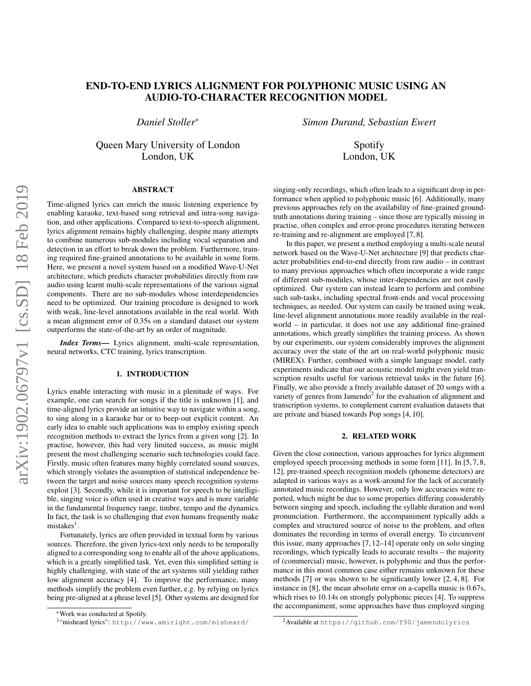# END-TO-END LYRICS ALIGNMENT FOR POLYPHONIC MUSIC USING AN AUDIO-TO-CHARACTER RECOGNITION MODEL

*Daniel Stoller*<sup>∗</sup>

Queen Mary University of London London, UK

# ABSTRACT

Time-aligned lyrics can enrich the music listening experience by enabling karaoke, text-based song retrieval and intra-song navigation, and other applications. Compared to text-to-speech alignment, lyrics alignment remains highly challenging, despite many attempts to combine numerous sub-modules including vocal separation and detection in an effort to break down the problem. Furthermore, training required fine-grained annotations to be available in some form. Here, we present a novel system based on a modified Wave-U-Net architecture, which predicts character probabilities directly from raw audio using learnt multi-scale representations of the various signal components. There are no sub-modules whose interdependencies need to be optimized. Our training procedure is designed to work with weak, line-level annotations available in the real world. With a mean alignment error of 0.35s on a standard dataset our system outperforms the state-of-the-art by an order of magnitude.

*Index Terms*— Lyrics alignment, multi-scale representation, neural networks, CTC training, lyrics transcription.

# 1. INTRODUCTION

Lyrics enable interacting with music in a plenitude of ways. For example, one can search for songs if the title is unknown [\[1\]](#page-4-0), and time-aligned lyrics provide an intuitive way to navigate within a song, to sing along in a karaoke bar or to beep-out explicit content. An early idea to enable such applications was to employ existing speech recognition methods to extract the lyrics from a given song [\[2\]](#page-4-1). In practise, however, this had very limited success, as music might present the most challenging scenario such technologies could face. Firstly, music often features many highly correlated sound sources, which strongly violates the assumption of statistical independence between the target and noise sources many speech recognition systems exploit [\[3\]](#page-4-2). Secondly, while it is important for speech to be intelligible, singing voice is often used in creative ways and is more variable in the fundamental frequency range, timbre, tempo and the dynamics. In fact, the task is so challenging that even humans frequently make mistakes<sup>[1](#page-0-0)</sup>.

Fortunately, lyrics are often provided in textual form by various sources. Therefore, the given lyrics-text only needs to be temporally aligned to a corresponding song to enable all of the above applications, which is a greatly simplified task. Yet, even this simplified setting is highly challenging, with state of the art systems still yielding rather low alignment accuracy [\[4\]](#page-4-3). To improve the performance, many methods simplify the problem even further, e.g. by relying on lyrics being pre-aligned at a phrase level [\[5\]](#page-4-4). Other systems are designed for

*Simon Durand, Sebastian Ewert*

Spotify London, UK

singing-only recordings, which often leads to a significant drop in performance when applied to polyphonic music [\[6\]](#page-4-5). Additionally, many previous approaches rely on the availability of fine-grained groundtruth annotations during training – since those are typically missing in practise, often complex and error-prone procedures iterating between re-training and re-alignment are employed [\[7,](#page-4-6) [8\]](#page-4-7).

In this paper, we present a method employing a multi-scale neural network based on the Wave-U-Net architecture [\[9\]](#page-4-8) that predicts character probabilities end-to-end directly from raw audio – in contrast to many previous approaches which often incorporate a wide range of different sub-modules, whose inter-dependencies are not easily optimized. Our system can instead learn to perform and combine such sub-tasks, including spectral front-ends and vocal processing techniques, as needed. Our system can easily be trained using weak, line-level alignment annotations more readily available in the realworld – in particular, it does not use any additional fine-grained annotations, which greatly simplifies the training process. As shown by our experiments, our system considerably improves the alignment accuracy over the state of the art on real-world polyphonic music (MIREX). Further, combined with a simple language model, early experiments indicate that our acoustic model might even yield tran-scription results useful for various retrieval tasks in the future [\[6\]](#page-4-5). Finally, we also provide a freely available dataset of 20 songs with a variety of genres from Jamendo<sup>[2](#page-0-1)</sup> for the evaluation of alignment and transcription systems, to complement current evaluation datasets that are private and biased towards Pop songs [\[4,](#page-4-3) [10\]](#page-4-9).

## 2. RELATED WORK

Given the close connection, various approaches for lyrics alignment employed speech processing methods in some form [\[11\]](#page-4-10). In [\[5,](#page-4-4)7,8, [12\]](#page-4-11), pre-trained speech recognition models (phoneme detectors) are adapted in various ways as a work-around for the lack of accurately annotated music recordings. However, only low accuracies were reported, which might be due to some properties differing considerably between singing and speech, including the syllable duration and word pronunciation. Furthermore, the accompaniment typically adds a complex and structured source of noise to the problem, and often dominates the recording in terms of overall energy. To circumvent this issue, many approaches [\[7,](#page-4-6) [12](#page-4-11)[–14\]](#page-4-12) operate only on solo singing recordings, which typically leads to accurate results – the majority of (commercial) music, however, is polyphonic and thus the performance in this most common case either remains unknown for these methods [\[7\]](#page-4-6) or was shown to be significantly lower [\[2,](#page-4-1) [4,](#page-4-3) [8\]](#page-4-7). For instance in [\[8\]](#page-4-7), the mean absolute error on a-capella music is 0.67s, which rises to 10.14s on strongly polyphonic pieces [\[4\]](#page-4-3). To suppress the accompaniment, some approaches have thus employed singing

<sup>∗</sup>Work was conducted at Spotify.

<span id="page-0-0"></span><sup>1</sup> "misheard lyrics": <http://www.amiright.com/misheard/>

<span id="page-0-1"></span><sup>2</sup>Available at <https://github.com/f90/jamendolyrics>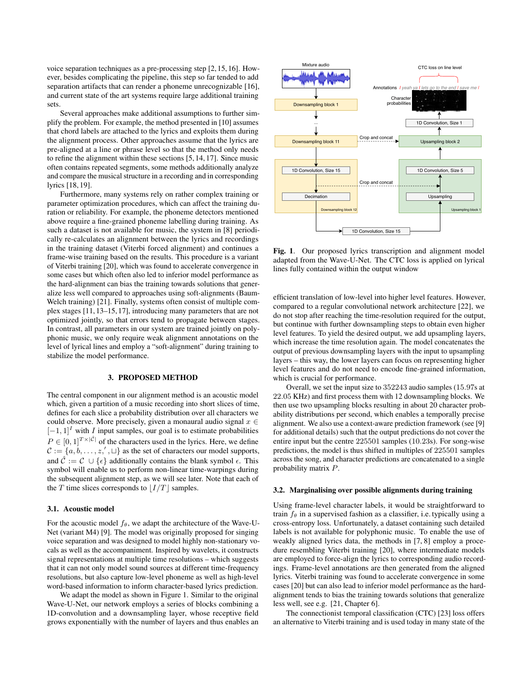voice separation techniques as a pre-processing step [\[2,](#page-4-1) [15,](#page-4-13) [16\]](#page-4-14). However, besides complicating the pipeline, this step so far tended to add separation artifacts that can render a phoneme unrecognizable [\[16\]](#page-4-14), and current state of the art systems require large additional training sets.

Several approaches make additional assumptions to further simplify the problem. For example, the method presented in [\[10\]](#page-4-9) assumes that chord labels are attached to the lyrics and exploits them during the alignment process. Other approaches assume that the lyrics are pre-aligned at a line or phrase level so that the method only needs to refine the alignment within these sections [\[5,](#page-4-4) [14,](#page-4-12) [17\]](#page-4-15). Since music often contains repeated segments, some methods additionally analyze and compare the musical structure in a recording and in corresponding lyrics [\[18,](#page-4-16) [19\]](#page-4-17).

Furthermore, many systems rely on rather complex training or parameter optimization procedures, which can affect the training duration or reliability. For example, the phoneme detectors mentioned above require a fine-grained phoneme labelling during training. As such a dataset is not available for music, the system in [\[8\]](#page-4-7) periodically re-calculates an alignment between the lyrics and recordings in the training dataset (Viterbi forced alignment) and continues a frame-wise training based on the results. This procedure is a variant of Viterbi training [\[20\]](#page-4-18), which was found to accelerate convergence in some cases but which often also led to inferior model performance as the hard-alignment can bias the training towards solutions that generalize less well compared to approaches using soft-alignments (Baum-Welch training) [\[21\]](#page-4-19). Finally, systems often consist of multiple complex stages [\[11,](#page-4-10) [13–](#page-4-20)[15,](#page-4-13) [17\]](#page-4-15), introducing many parameters that are not optimized jointly, so that errors tend to propagate between stages. In contrast, all parameters in our system are trained jointly on polyphonic music, we only require weak alignment annotations on the level of lyrical lines and employ a "soft-alignment" during training to stabilize the model performance.

# 3. PROPOSED METHOD

The central component in our alignment method is an acoustic model which, given a partition of a music recording into short slices of time, defines for each slice a probability distribution over all characters we could observe. More precisely, given a monaural audio signal  $x \in$  $[-1, 1]$ <sup>I</sup> with I input samples, our goal is to estimate probabilities  $P \in [0,1]^{T \times |\hat{\mathcal{C}}|}$  of the characters used in the lyrics. Here, we define  $\mathcal{C} := \{a, b, \dots, z', \cup\}$  as the set of characters our model supports, and  $\hat{\mathcal{C}} := \mathcal{C} \cup \{\epsilon\}$  additionally contains the blank symbol  $\epsilon$ . This symbol will enable us to perform non-linear time-warpings during the subsequent alignment step, as we will see later. Note that each of the T time slices corresponds to  $|I/T|$  samples.

## <span id="page-1-1"></span>3.1. Acoustic model

For the acoustic model  $f_\theta$ , we adapt the architecture of the Wave-U-Net (variant M4) [\[9\]](#page-4-8). The model was originally proposed for singing voice separation and was designed to model highly non-stationary vocals as well as the accompaniment. Inspired by wavelets, it constructs signal representations at multiple time resolutions – which suggests that it can not only model sound sources at different time-frequency resolutions, but also capture low-level phoneme as well as high-level word-based information to inform character-based lyrics prediction.

We adapt the model as shown in Figure [1.](#page-1-0) Similar to the original Wave-U-Net, our network employs a series of blocks combining a 1D-convolution and a downsampling layer, whose receptive field grows exponentially with the number of layers and thus enables an



<span id="page-1-0"></span>Fig. 1. Our proposed lyrics transcription and alignment model adapted from the Wave-U-Net. The CTC loss is applied on lyrical lines fully contained within the output window

efficient translation of low-level into higher level features. However, compared to a regular convolutional network architecture [\[22\]](#page-4-21), we do not stop after reaching the time-resolution required for the output, but continue with further downsampling steps to obtain even higher level features. To yield the desired output, we add upsampling layers, which increase the time resolution again. The model concatenates the output of previous downsampling layers with the input to upsampling layers – this way, the lower layers can focus on representing higher level features and do not need to encode fine-grained information, which is crucial for performance.

Overall, we set the input size to 352243 audio samples (15.97s at 22.05 KHz) and first process them with 12 downsampling blocks. We then use two upsampling blocks resulting in about 20 character probability distributions per second, which enables a temporally precise alignment. We also use a context-aware prediction framework (see [\[9\]](#page-4-8) for additional details) such that the output predictions do not cover the entire input but the centre 225501 samples (10.23s). For song-wise predictions, the model is thus shifted in multiples of 225501 samples across the song, and character predictions are concatenated to a single probability matrix P.

#### 3.2. Marginalising over possible alignments during training

Using frame-level character labels, it would be straightforward to train  $f_\theta$  in a supervised fashion as a classifier, i.e. typically using a cross-entropy loss. Unfortunately, a dataset containing such detailed labels is not available for polyphonic music. To enable the use of weakly aligned lyrics data, the methods in [\[7,](#page-4-6) [8\]](#page-4-7) employ a procedure resembling Viterbi training [\[20\]](#page-4-18), where intermediate models are employed to force-align the lyrics to corresponding audio recordings. Frame-level annotations are then generated from the aligned lyrics. Viterbi training was found to accelerate convergence in some cases [\[20\]](#page-4-18) but can also lead to inferior model performance as the hardalignment tends to bias the training towards solutions that generalize less well, see e.g. [\[21,](#page-4-19) Chapter 6].

The connectionist temporal classification (CTC) [\[23\]](#page-4-22) loss offers an alternative to Viterbi training and is used today in many state of the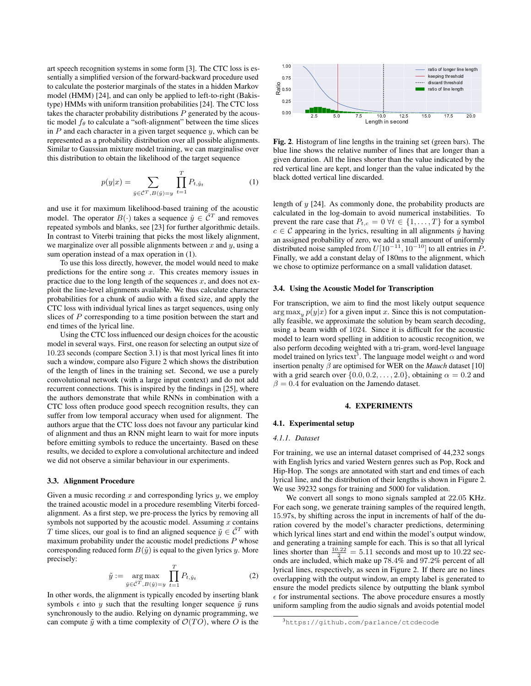art speech recognition systems in some form [\[3\]](#page-4-2). The CTC loss is essentially a simplified version of the forward-backward procedure used to calculate the posterior marginals of the states in a hidden Markov model (HMM) [\[24\]](#page-4-23), and can only be applied to left-to-right (Bakistype) HMMs with uniform transition probabilities [\[24\]](#page-4-23). The CTC loss takes the character probability distributions  $P$  generated by the acoustic model  $f_{\theta}$  to calculate a "soft-alignment" between the time slices in  $P$  and each character in a given target sequence  $y$ , which can be represented as a probability distribution over all possible alignments. Similar to Gaussian mixture model training, we can marginalise over this distribution to obtain the likelihood of the target sequence

<span id="page-2-0"></span>
$$
p(y|x) = \sum_{\hat{y} \in \hat{C}^T, B(\hat{y}) = y} \prod_{t=1}^T P_{t, \hat{y}_t}
$$
 (1)

and use it for maximum likelihood-based training of the acoustic model. The operator  $B(\cdot)$  takes a sequence  $\hat{y} \in \hat{\mathcal{C}}^T$  and removes repeated symbols and blanks, see [\[23\]](#page-4-22) for further algorithmic details. In contrast to Viterbi training that picks the most likely alignment, we marginalize over all possible alignments between  $x$  and  $y$ , using a sum operation instead of a max operation in [\(1\)](#page-2-0).

To use this loss directly, however, the model would need to make predictions for the entire song  $x$ . This creates memory issues in practice due to the long length of the sequences  $x$ , and does not exploit the line-level alignments available. We thus calculate character probabilities for a chunk of audio with a fixed size, and apply the CTC loss with individual lyrical lines as target sequences, using only slices of P corresponding to a time position between the start and end times of the lyrical line.

Using the CTC loss influenced our design choices for the acoustic model in several ways. First, one reason for selecting an output size of 10.23 seconds (compare Section [3.1\)](#page-1-1) is that most lyrical lines fit into such a window, compare also Figure [2](#page-2-1) which shows the distribution of the length of lines in the training set. Second, we use a purely convolutional network (with a large input context) and do not add recurrent connections. This is inspired by the findings in [\[25\]](#page-4-24), where the authors demonstrate that while RNNs in combination with a CTC loss often produce good speech recognition results, they can suffer from low temporal accuracy when used for alignment. The authors argue that the CTC loss does not favour any particular kind of alignment and thus an RNN might learn to wait for more inputs before emitting symbols to reduce the uncertainty. Based on these results, we decided to explore a convolutional architecture and indeed we did not observe a similar behaviour in our experiments.

#### 3.3. Alignment Procedure

Given a music recording  $x$  and corresponding lyrics  $y$ , we employ the trained acoustic model in a procedure resembling Viterbi forcedalignment. As a first step, we pre-process the lyrics by removing all symbols not supported by the acoustic model. Assuming  $x$  contains T time slices, our goal is to find an aligned sequence  $\tilde{y} \in \hat{C}^T$  with maximum probability under the acoustic model predictions  $P$  whose corresponding reduced form  $B(\tilde{y})$  is equal to the given lyrics y. More precisely:

$$
\tilde{y} := \underset{\hat{y} \in \hat{\mathcal{C}}^T, B(\hat{y}) = y}{\arg \max} \prod_{t=1}^T P_{t, \hat{y}_t}
$$
\n(2)

In other words, the alignment is typically encoded by inserting blank symbols  $\epsilon$  into y such that the resulting longer sequence  $\tilde{y}$  runs synchronously to the audio. Relying on dynamic programming, we can compute  $\tilde{y}$  with a time complexity of  $\mathcal{O}(TO)$ , where O is the



<span id="page-2-1"></span>Fig. 2. Histogram of line lengths in the training set (green bars). The blue line shows the relative number of lines that are longer than a given duration. All the lines shorter than the value indicated by the red vertical line are kept, and longer than the value indicated by the black dotted vertical line discarded.

length of y [\[24\]](#page-4-23). As commonly done, the probability products are calculated in the log-domain to avoid numerical instabilities. To prevent the rare case that  $P_{t,c} = 0 \ \forall t \in \{1, \ldots, T\}$  for a symbol  $c \in \mathcal{C}$  appearing in the lyrics, resulting in all alignments  $\hat{v}$  having an assigned probability of zero, we add a small amount of uniformly distributed noise sampled from  $U[10^{-11}, 10^{-10}]$  to all entries in P. Finally, we add a constant delay of 180ms to the alignment, which we chose to optimize performance on a small validation dataset.

## <span id="page-2-3"></span>3.4. Using the Acoustic Model for Transcription

For transcription, we aim to find the most likely output sequence arg max<sub>y</sub>  $p(y|x)$  for a given input x. Since this is not computationally feasible, we approximate the solution by beam search decoding, using a beam width of 1024. Since it is difficult for the acoustic model to learn word spelling in addition to acoustic recognition, we also perform decoding weighted with a tri-gram, word-level language model trained on lyrics text<sup>[3](#page-2-2)</sup>. The language model weight  $\alpha$  and word insertion penalty  $\beta$  are optimised for WER on the *Mauch* dataset [\[10\]](#page-4-9) with a grid search over  $\{0.0, 0.2, \ldots, 2.0\}$ , obtaining  $\alpha = 0.2$  and  $\beta = 0.4$  for evaluation on the Jamendo dataset.

#### 4. EXPERIMENTS

## 4.1. Experimental setup

#### *4.1.1. Dataset*

For training, we use an internal dataset comprised of 44,232 songs with English lyrics and varied Western genres such as Pop, Rock and Hip-Hop. The songs are annotated with start and end times of each lyrical line, and the distribution of their lengths is shown in Figure [2.](#page-2-1) We use 39232 songs for training and 5000 for validation.

We convert all songs to mono signals sampled at 22.05 KHz. For each song, we generate training samples of the required length, 15.97s, by shifting across the input in increments of half of the duration covered by the model's character predictions, determining which lyrical lines start and end within the model's output window, and generating a training sample for each. This is so that all lyrical lines shorter than  $\frac{10.22}{2} = 5.11$  seconds and most up to 10.22 seconds are included, which make up 78.4% and 97.2% percent of all lyrical lines, respectively, as seen in Figure [2.](#page-2-1) If there are no lines overlapping with the output window, an empty label is generated to ensure the model predicts silence by outputting the blank symbol  $\epsilon$  for instrumental sections. The above procedure ensures a mostly uniform sampling from the audio signals and avoids potential model

<span id="page-2-2"></span><sup>3</sup><https://github.com/parlance/ctcdecode>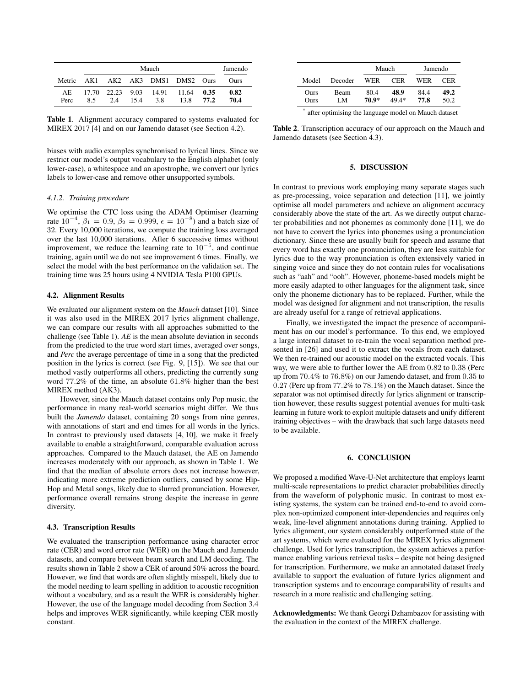|             |     | Jamendo |      |     |                                      |              |              |
|-------------|-----|---------|------|-----|--------------------------------------|--------------|--------------|
| Metric      |     |         |      |     | AK1 AK2 AK3 DMS1 DMS2 Ours           |              | Ours         |
| AE.<br>Perc | 8.5 | 2.4     | 15.4 | 3.8 | 17.70 22.23 9.03 14.91 11.64<br>13.8 | 0.35<br>77.2 | 0.82<br>70.4 |

<span id="page-3-1"></span>Table 1. Alignment accuracy compared to systems evaluated for MIREX 2017 [\[4\]](#page-4-3) and on our Jamendo dataset (see Section [4.2\)](#page-3-0).

biases with audio examples synchronised to lyrical lines. Since we restrict our model's output vocabulary to the English alphabet (only lower-case), a whitespace and an apostrophe, we convert our lyrics labels to lower-case and remove other unsupported symbols.

## *4.1.2. Training procedure*

We optimise the CTC loss using the ADAM Optimiser (learning rate  $10^{-4}$ ,  $\beta_1 = 0.9$ ,  $\beta_2 = 0.999$ ,  $\epsilon = 10^{-8}$ ) and a batch size of 32. Every 10,000 iterations, we compute the training loss averaged over the last 10,000 iterations. After 6 successive times without improvement, we reduce the learning rate to  $10^{-5}$ , and continue training, again until we do not see improvement 6 times. Finally, we select the model with the best performance on the validation set. The training time was 25 hours using 4 NVIDIA Tesla P100 GPUs.

# <span id="page-3-0"></span>4.2. Alignment Results

We evaluated our alignment system on the *Mauch* dataset [\[10\]](#page-4-9). Since it was also used in the MIREX 2017 lyrics alignment challenge, we can compare our results with all approaches submitted to the challenge (see Table [1\)](#page-3-1). *AE* is the mean absolute deviation in seconds from the predicted to the true word start times, averaged over songs, and *Perc* the average percentage of time in a song that the predicted position in the lyrics is correct (see Fig. 9, [\[15\]](#page-4-13)). We see that our method vastly outperforms all others, predicting the currently sung word 77.2% of the time, an absolute 61.8% higher than the best MIREX method (AK3).

However, since the Mauch dataset contains only Pop music, the performance in many real-world scenarios might differ. We thus built the *Jamendo* dataset, containing 20 songs from nine genres, with annotations of start and end times for all words in the lyrics. In contrast to previously used datasets [\[4,](#page-4-3) [10\]](#page-4-9), we make it freely available to enable a straightforward, comparable evaluation across approaches. Compared to the Mauch dataset, the AE on Jamendo increases moderately with our approach, as shown in Table [1.](#page-3-1) We find that the median of absolute errors does not increase however, indicating more extreme prediction outliers, caused by some Hip-Hop and Metal songs, likely due to slurred pronunciation. However, performance overall remains strong despite the increase in genre diversity.

### <span id="page-3-3"></span>4.3. Transcription Results

We evaluated the transcription performance using character error rate (CER) and word error rate (WER) on the Mauch and Jamendo datasets, and compare between beam search and LM decoding. The results shown in Table [2](#page-3-2) show a CER of around 50% across the board. However, we find that words are often slightly misspelt, likely due to the model needing to learn spelling in addition to acoustic recognition without a vocabulary, and as a result the WER is considerably higher. However, the use of the language model decoding from Section [3.4](#page-2-3) helps and improves WER significantly, while keeping CER mostly constant.

|                                                           |            | Mauch         |               | Jamendo     |              |  |  |  |
|-----------------------------------------------------------|------------|---------------|---------------|-------------|--------------|--|--|--|
| Model                                                     | Decoder    | WER           | <b>CER</b>    | WER         | CER          |  |  |  |
| Ours<br>Ours                                              | Beam<br>LM | 80.4<br>70.9* | 48.9<br>49.4* | 844<br>77.8 | 49.2<br>50.2 |  |  |  |
| *<br>after optimising the Janguage model on Mauch dataset |            |               |               |             |              |  |  |  |

<span id="page-3-2"></span>after optimising the language model on Mauch dataset

Table 2. Transcription accuracy of our approach on the Mauch and Jamendo datasets (see Section [4.3\)](#page-3-3).

## 5. DISCUSSION

In contrast to previous work employing many separate stages such as pre-processing, voice separation and detection [\[11\]](#page-4-10), we jointly optimise all model parameters and achieve an alignment accuracy considerably above the state of the art. As we directly output character probabilities and not phonemes as commonly done [\[11\]](#page-4-10), we do not have to convert the lyrics into phonemes using a pronunciation dictionary. Since these are usually built for speech and assume that every word has exactly one pronunciation, they are less suitable for lyrics due to the way pronunciation is often extensively varied in singing voice and since they do not contain rules for vocalisations such as "aah" and "ooh". However, phoneme-based models might be more easily adapted to other languages for the alignment task, since only the phoneme dictionary has to be replaced. Further, while the model was designed for alignment and not transcription, the results are already useful for a range of retrieval applications.

Finally, we investigated the impact the presence of accompaniment has on our model's performance. To this end, we employed a large internal dataset to re-train the vocal separation method presented in [\[26\]](#page-4-25) and used it to extract the vocals from each dataset. We then re-trained our acoustic model on the extracted vocals. This way, we were able to further lower the AE from 0.82 to 0.38 (Perc up from 70.4% to 76.8%) on our Jamendo dataset, and from 0.35 to 0.27 (Perc up from 77.2% to 78.1%) on the Mauch dataset. Since the separator was not optimised directly for lyrics alignment or transcription however, these results suggest potential avenues for multi-task learning in future work to exploit multiple datasets and unify different training objectives – with the drawback that such large datasets need to be available.

## 6. CONCLUSION

We proposed a modified Wave-U-Net architecture that employs learnt multi-scale representations to predict character probabilities directly from the waveform of polyphonic music. In contrast to most existing systems, the system can be trained end-to-end to avoid complex non-optimized component inter-dependencies and requires only weak, line-level alignment annotations during training. Applied to lyrics alignment, our system considerably outperformed state of the art systems, which were evaluated for the MIREX lyrics alignment challenge. Used for lyrics transcription, the system achieves a performance enabling various retrieval tasks – despite not being designed for transcription. Furthermore, we make an annotated dataset freely available to support the evaluation of future lyrics alignment and transcription systems and to encourage comparability of results and research in a more realistic and challenging setting.

Acknowledgments: We thank Georgi Dzhambazov for assisting with the evaluation in the context of the MIREX challenge.